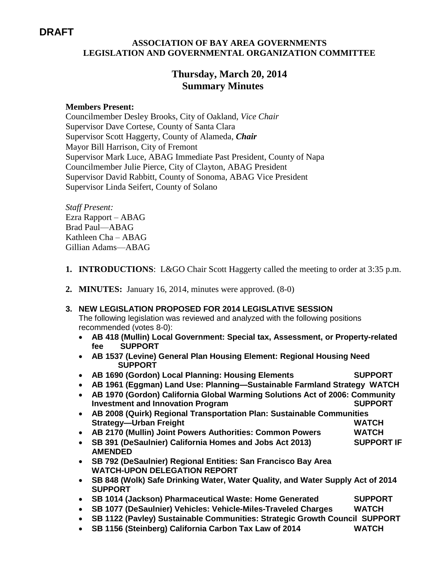# **DRAFT**

### **ASSOCIATION OF BAY AREA GOVERNMENTS LEGISLATION AND GOVERNMENTAL ORGANIZATION COMMITTEE**

## **Thursday, March 20, 2014 Summary Minutes**

### **Members Present:**

Councilmember Desley Brooks, City of Oakland, *Vice Chair* Supervisor Dave Cortese, County of Santa Clara Supervisor Scott Haggerty, County of Alameda, *Chair* Mayor Bill Harrison, City of Fremont Supervisor Mark Luce, ABAG Immediate Past President, County of Napa Councilmember Julie Pierce, City of Clayton, ABAG President Supervisor David Rabbitt, County of Sonoma, ABAG Vice President Supervisor Linda Seifert, County of Solano

*Staff Present:* Ezra Rapport – ABAG Brad Paul—ABAG Kathleen Cha – ABAG Gillian Adams—ABAG

- **1. INTRODUCTIONS**: L&GO Chair Scott Haggerty called the meeting to order at 3:35 p.m.
- **2. MINUTES:** January 16, 2014, minutes were approved. (8-0)

#### **3. NEW LEGISLATION PROPOSED FOR 2014 LEGISLATIVE SESSION**

The following legislation was reviewed and analyzed with the following positions recommended (votes 8-0):

- **AB 418 (Mullin) Local Government: Special tax, Assessment, or Property-related fee SUPPORT**
- **AB 1537 (Levine) General Plan Housing Element: Regional Housing Need SUPPORT**
- **AB 1690 (Gordon) Local Planning: Housing Elements SUPPORT**
- **AB 1961 (Eggman) Land Use: Planning—Sustainable Farmland Strategy WATCH**
- **AB 1970 (Gordon) California Global Warming Solutions Act of 2006: Community Investment and Innovation Program SUPPORT**
- **AB 2008 (Quirk) Regional Transportation Plan: Sustainable Communities Strategy—Urban Freight WATCH**
- **AB 2170 (Mullin) Joint Powers Authorities: Common Powers WATCH**
- **SB 391 (DeSaulnier) California Homes and Jobs Act 2013) SUPPORT IF AMENDED**
- **SB 792 (DeSaulnier) Regional Entities: San Francisco Bay Area WATCH-UPON DELEGATION REPORT**
- **SB 848 (Wolk) Safe Drinking Water, Water Quality, and Water Supply Act of 2014 SUPPORT**
- **SB 1014 (Jackson) Pharmaceutical Waste: Home Generated SUPPORT**
- **SB 1077 (DeSaulnier) Vehicles: Vehicle-Miles-Traveled Charges WATCH**
- **SB 1122 (Pavley) Sustainable Communities: Strategic Growth Council SUPPORT**
- **SB 1156 (Steinberg) California Carbon Tax Law of 2014 WATCH**